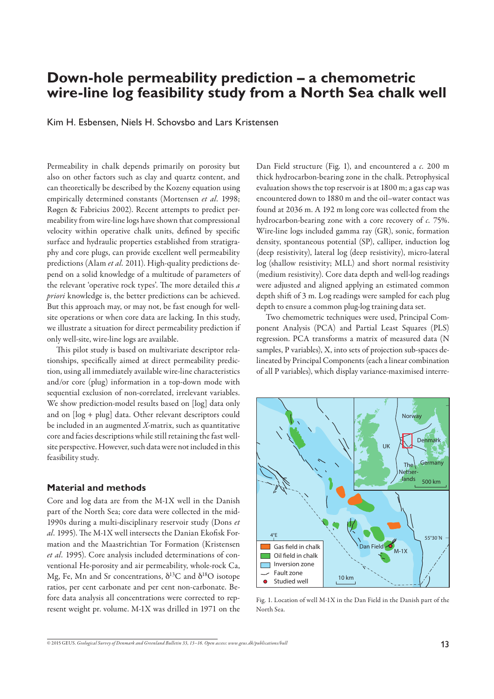# **Down-hole permeability prediction – a chemometric wire-line log feasibility study from a North Sea chalk well**

Kim H. Esbensen, Niels H. Schovsbo and Lars Kristensen

Permeability in chalk depends primarily on porosity but also on other factors such as clay and quartz content, and can theoretically be described by the Kozeny equation using empirically determined constants (Mortensen *et al.* 1998; Røgen & Fabricius 2002). Recent attempts to predict permeability from wire-line logs have shown that compressional velocity within operative chalk units, defined by specific surface and hydraulic properties established from stratigraphy and core plugs, can provide excellent well permeability predictions (Alam *et al.* 2011). High-quality predictions depend on a solid knowledge of a multitude of parameters of the relevant 'operative rock types'. The more detailed this *a priori* knowledge is, the better predictions can be achieved. But this approach may, or may not, be fast enough for wellsite operations or when core data are lacking. In this study, we illustrate a situation for direct permeability prediction if only well-site, wire-line logs are available.

This pilot study is based on multivariate descriptor relationships, specifically aimed at direct permeability prediction, using all immediately available wire-line characteristics and/or core (plug) information in a top-down mode with sequential exclusion of non-correlated, irrelevant variables. We show prediction-model results based on [log] data only and on [log + plug] data. Other relevant descriptors could be included in an augmented *X*-matrix, such as quantitative core and facies descriptions while still retaining the fast wellsite perspective. However, such data were not included in this feasibility study.

#### **Material and methods**

Core and log data are from the M-1X well in the Danish part of the North Sea; core data were collected in the mid-1990s during a multi-disciplinary reservoir study (Dons *et*  al. 1995). The M-1X well intersects the Danian Ekofisk Formation and the Maastrichtian Tor Formation (Kristensen *et al.* 1995). Core analysis included determinations of conventional He-porosity and air permeability, whole-rock Ca, Mg, Fe, Mn and Sr concentrations,  $\delta^{13}$ C and  $\delta^{18}$ O isotope ratios, per cent carbonate and per cent non-carbonate. Before data analysis all concentrations were corrected to represent weight pr. volume. M-1X was drilled in 1971 on the Dan Field structure (Fig. 1), and encountered a *c.* 200 m thick hydrocarbon-bearing zone in the chalk. Petrophysical evaluation shows the top reservoir is at 1800 m; a gas cap was encountered down to 1880 m and the oil–water contact was found at 2036 m. A 192 m long core was collected from the hydrocarbon-bearing zone with a core recovery of *c.* 75%. Wire-line logs included gamma ray (GR), sonic, formation density, spontaneous potential (SP), calliper, induction log (deep resistivity), lateral log (deep resistivity), micro-lateral log (shallow resistivity; MLL) and short normal resistivity (medium resistivity). Core data depth and well-log readings were adjusted and aligned applying an estimated common depth shift of 3 m. Log readings were sampled for each plug depth to ensure a common plug-log training data set.

Two chemometric techniques were used, Principal Component Analysis (PCA) and Partial Least Squares (PLS) regression. PCA transforms a matrix of measured data (N samples, P variables), X, into sets of projection sub-spaces delineated by Principal Components (each a linear combination of all P variables), which display variance-maximised interre-



Fig. 1. Location of well M-1X in the Dan Field in the Danish part of the North Sea.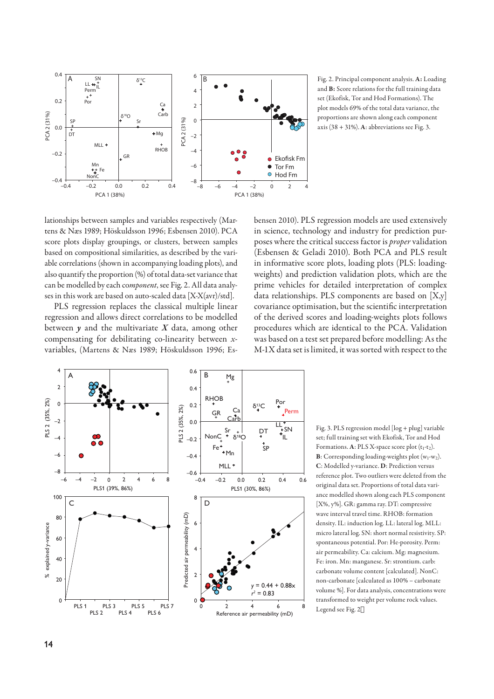

and **B:** Score relations for the full training data set (Ekofisk, Tor and Hod Formations). The plot models 69% of the total data variance, the proportions are shown along each component axis (38 + 31%). **A**: abbreviations see Fig. 3.

lationships between samples and variables respectively (Martens & Næs 1989; Höskuldsson 1996; Esbensen 2010). PCA score plots display groupings, or clusters, between samples based on compositional similarities, as described by the variable correlations (shown in accompanying loading plots), and also quantify the proportion (%) of total data-set variance that can be modelled by each co*mponent*, see Fig. 2. All data analyses in this work are based on auto-scaled data [X-X(avr)/std].

PLS regression replaces the classical multiple linear regression and allows direct correlations to be modelled between  $\gamma$  and the multivariate  $X$  data, among other compensating for debilitating co-linearity between *x*variables, (Martens & Næs 1989; Höskuldsson 1996; Esbensen 2010). PLS regression models are used extensively in science, technology and industry for prediction purposes where the critical success factor is *proper* validation (Esbensen & Geladi 2010). Both PCA and PLS result in informative score plots, loading plots (PLS: loadingweights) and prediction validation plots, which are the prime vehicles for detailed interpretation of complex data relationships. PLS components are based on [X,y] covariance optimisation, but the scientific interpretation of the derived scores and loading-weights plots follows procedures which are identical to the PCA. Validation was based on a test set prepared before modelling: As the M-1X data set is limited, it was sorted with respect to the



Fig. 3. PLS regression model [log + plug] variable set; full training set with Ekofisk, Tor and Hod Formations.  $A$ : PLS X-space score plot  $(t_1-t_2)$ .  $B$ : Corresponding loading-weights plot  $(w_1-w_2)$ . **C**: Modelled y-variance. **D**: Prediction versus reference plot. Two outliers were deleted from the original data set. Proportions of total data variance modelled shown along each PLS component [X%, y%]. GR: gamma ray. DT: compressive wave interval travel time. RHOB: formation density. IL: induction log. LL: lateral log. MLL: micro lateral log. SN: short normal resistivity. SP: spontaneous potential. Por: He-porosity. Perm: air permeability. Ca: calcium. Mg: magnesium. Fe: iron. Mn: manganese. Sr: strontium. carb: carbonate volume content [calculated]. NonC: non-carbonate [calculated as 100% – carbonate volume %]. For data analysis, concentrations were transformed to weight per volume rock values. Legend see Fig. 2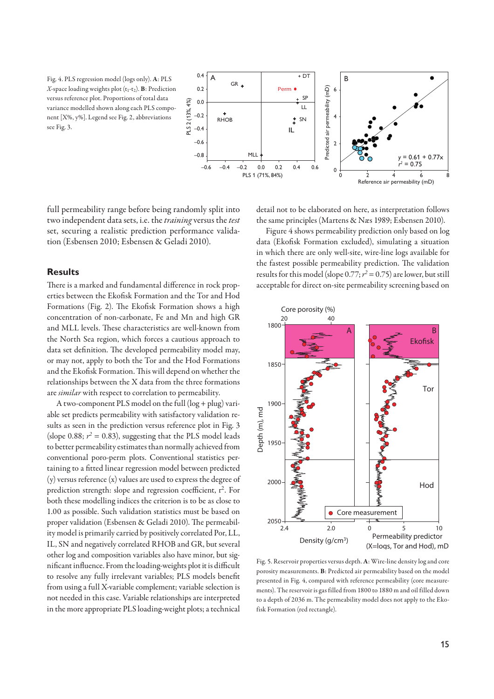Fig. 4. PLS regression model (logs only). **A**: PLS *X*-space loading weights plot (t1-t2). **B**: Prediction versus reference plot. Proportions of total data variance modelled shown along each PLS component [X%, y%]. Legend see Fig. 2, abbreviations see Fig. 3.



full permeability range before being randomly split into two independent data sets, i.e. the *training* versus the *test* set, securing a realistic prediction performance validation (Esbensen 2010; Esbensen & Geladi 2010).

## **Results**

There is a marked and fundamental difference in rock properties between the Ekofisk Formation and the Tor and Hod Formations (Fig. 2). The Ekofisk Formation shows a high concentration of non-carbonate, Fe and Mn and high GR and MLL levels. These characteristics are well-known from the North Sea region, which forces a cautious approach to data set definition. The developed permeability model may, or may not, apply to both the Tor and the Hod Formations and the Ekofisk Formation. This will depend on whether the relationships between the X data from the three formations are *similar* with respect to correlation to permeability.

A two-component PLS model on the full (log + plug) variable set predicts permeability with satisfactory validation results as seen in the prediction versus reference plot in Fig. 3 (slope 0.88;  $r^2 = 0.83$ ), suggesting that the PLS model leads to better permeability estimates than normally achieved from conventional poro-perm plots. Conventional statistics pertaining to a fitted linear regression model between predicted (y) versus reference (x) values are used to express the degree of prediction strength: slope and regression coefficient,  $r^2$ . For both these modelling indices the criterion is to be as close to 1.00 as possible. Such validation statistics must be based on proper validation (Esbensen & Geladi 2010). The permeability model is primarily carried by positively correlated Por, LL, IL, SN and negatively correlated RHOB and GR, but several other log and composition variables also have minor, but significant influence. From the loading-weights plot it is difficult to resolve any fully irrelevant variables; PLS models benefit from using a full X-variable complement; variable selection is not needed in this case. Variable relationships are interpreted in the more appropriate PLS loading-weight plots; a technical

detail not to be elaborated on here, as interpretation follows the same principles (Martens & Næs 1989; Esbensen 2010).

Figure 4 shows permeability prediction only based on log data (Ekofisk Formation excluded), simulating a situation in which there are only well-site, wire-line logs available for the fastest possible permeability prediction. The validation results for this model (slope  $0.77$ ;  $r^2 = 0.75$ ) are lower, but still acceptable for direct on-site permeability screening based on



Fig. 5. Reservoir properties versus depth. **A**: Wire-line density log and core porosity measurements. **B**: Predicted air permeability based on the model presented in Fig. 4, compared with reference permeability (core measurements). The reservoir is gas filled from 1800 to 1880 m and oil filled down to a depth of 2036 m. The permeability model does not apply to the Ekofisk Formation (red rectangle).